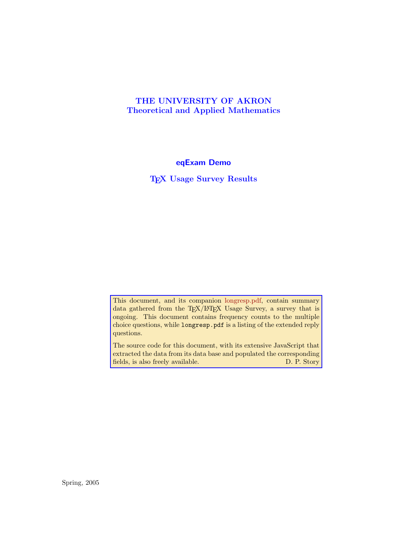## <span id="page-0-0"></span>**THE UNIVERSITY OF AKRON Theoretical and Applied Mathematics**

**eqExam Demo**

**TEX Usage Survey Results**

This document, and its companion longresp.pdf, contain summary data gathered from the TEX/LATEX Usage Survey, a survey that is ongoing. This document contains frequency counts to the multiple choice questions, while longresp.pdf is a listing of the extended reply questions.

The source code for this document, with its extensive JavaScript that extracted the data from its data base and populated the corresponding fields, is also freely available. D. P. Story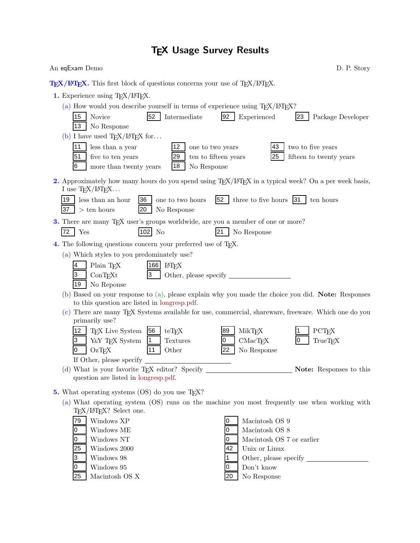# **TEX Usage Survey Results**

| An eqExam Demo                                                                                                                              | D. P. Story                                                                                         |
|---------------------------------------------------------------------------------------------------------------------------------------------|-----------------------------------------------------------------------------------------------------|
| $T_F X / T_F X$ . This first block of questions concerns your use of $T_F X / T_F X$ .                                                      |                                                                                                     |
| 1. Experience using TEX/IATEX.                                                                                                              |                                                                                                     |
| (a) How would you describe yourself in terms of experience using $T_F X / I4T_F X$ ?                                                        |                                                                                                     |
| 52<br>15<br>Novice<br>Intermediate                                                                                                          | 92<br>23<br>Experienced<br>Package Developer                                                        |
| 13<br>No Response                                                                                                                           |                                                                                                     |
| (b) I have used $T_{E}X/IF_{E}X$ for                                                                                                        |                                                                                                     |
| less than a year<br> 11<br>12<br>one to two years<br>51<br>five to ten years<br>29                                                          | 43<br>two to five years<br>25<br>ten to fifteen years<br>fifteen to twenty years                    |
| 16<br>more than twenty years<br> 18<br>No Response                                                                                          |                                                                                                     |
| 2. Approximately how many hours do you spend using T <sub>E</sub> X/L <sup>A</sup> T <sub>E</sub> X in a typical week? On a per week basis, |                                                                                                     |
| I use $T_{E}X/IF_{E}X$                                                                                                                      |                                                                                                     |
| 36<br>19<br>less than an hour<br>one to two hours<br>37<br>20<br>$>$ ten hours<br>No Response                                               | $52 \mid$<br>three to five hours $ 31 $<br>ten hours                                                |
| <b>3.</b> There are many T <sub>E</sub> X user's groups worldwide, are you a member of one or more?                                         |                                                                                                     |
| $102$ No<br>72<br>Yes                                                                                                                       | 121<br>No Response                                                                                  |
| 4. The following questions concern your preferred use of T <sub>F</sub> X.                                                                  |                                                                                                     |
| (a) Which styles to you predominately use?                                                                                                  |                                                                                                     |
| Plain TFX<br>166 L <sup>A</sup> T <sub>F</sub> X<br>4                                                                                       |                                                                                                     |
| 3<br>3<br>ConTrXt<br>No Reponse<br>19                                                                                                       |                                                                                                     |
| to this question are listed in longresp.pdf.                                                                                                | (b) Based on your response to (a), please explain why you made the choice you did. Note: Responses  |
|                                                                                                                                             | (c) There are many TFX Systems available for use, commercial, shareware, freeware. Which one do you |
| primarily use?                                                                                                                              |                                                                                                     |
| T <sub>F</sub> X Live System<br>56<br>12<br>$teT$ <sub>E</sub> X<br>3<br>Y&Y TEX System<br>$\vert$ 1<br>Textures                            | 89<br>MikTFX<br>PCT <sub>F</sub> X<br>CMacTeX<br>TrueTEX<br>10<br>0                                 |
| Other<br>$OzT$ <sub>F</sub> X<br> 11<br>IО                                                                                                  | 22<br>No Response                                                                                   |
| If Other, please specify                                                                                                                    |                                                                                                     |
| $(d)$ What is your favorite T <sub>E</sub> X editor? Specify                                                                                | Note: Responses to this                                                                             |
| question are listed in longresp.pdf.                                                                                                        |                                                                                                     |
| 5. What operating systems $OS$ do you use T <sub>F</sub> X?                                                                                 |                                                                                                     |
|                                                                                                                                             | (a) What operating system (OS) runs on the machine you most frequently use when working with        |
| T <sub>F</sub> X/I <sup>A</sup> T <sub>F</sub> X? Select one.                                                                               |                                                                                                     |
| Windows XP<br>79<br>Windows ME<br>0                                                                                                         | Macintosh OS 9<br>0<br>Macintosh OS 8<br>0                                                          |
| Windows NT<br>0                                                                                                                             | Macintosh OS 7 or earlier<br>0                                                                      |
| 25<br>Windows 2000                                                                                                                          | Unix or Linux<br>42                                                                                 |
| Windows 98<br>3                                                                                                                             |                                                                                                     |
| Windows 95<br>0                                                                                                                             | Don't know<br>0                                                                                     |
| 25<br>Macintosh OS X                                                                                                                        | No Response<br>20                                                                                   |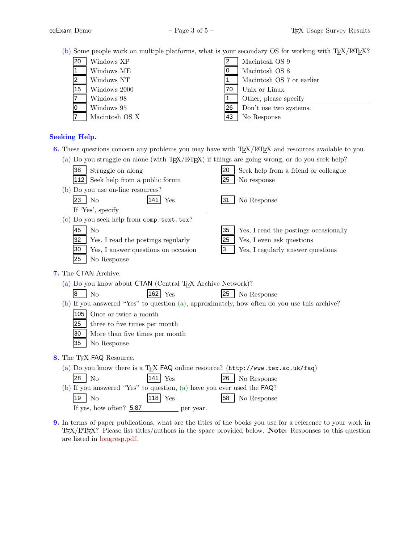(b) Some people work on multiple platforms, what is your secondary OS for working with TEX/L<sup>AT</sup>EX?

| 120 | Windows XP     |    | Macintosh OS 9            |
|-----|----------------|----|---------------------------|
|     | Windows ME     |    | Macintosh OS 8            |
|     | Windows NT     |    | Macintosh OS 7 or earlier |
| 15  | Windows 2000   | 70 | Unix or Linux             |
|     | Windows 98     |    | Other, please specify     |
|     | Windows 95     | 26 | Don't use two systems.    |
|     | Macintosh OS X | 43 | No Response               |

## **Seeking Help.**

**6.** These questions concern any problems you may have with TEX/LATEX and resources available to you.

| (a) Do you struggle on alone (with T <sub>E</sub> X/L <sup>T</sup> EX) if things are going wrong, or do you seek help? |                                             |  |
|------------------------------------------------------------------------------------------------------------------------|---------------------------------------------|--|
| 38<br>Struggle on along                                                                                                | Seek help from a friend or colleague<br>20  |  |
| Seek help from a public forum<br>1121                                                                                  | 25<br>No response                           |  |
| (b) Do you use on-line resources?                                                                                      |                                             |  |
| 23<br>141<br>N <sub>o</sub><br>Yes                                                                                     | No Response<br>31                           |  |
| If 'Yes', specify                                                                                                      |                                             |  |
| (c) Do you seek help from comp.text.tex?                                                                               |                                             |  |
| 45<br>N <sub>o</sub>                                                                                                   | 35<br>Yes, I read the postings occasionally |  |
| 32<br>Yes, I read the postings regularly                                                                               | 25<br>Yes, I even ask questions             |  |
| Yes, I answer questions on occasion<br>30                                                                              | 3<br>Yes, I regularly answer questions      |  |
| 25<br>No Response                                                                                                      |                                             |  |
| 7. The CTAN Archive.                                                                                                   |                                             |  |
| (a) Do you know about $CTAN$ (Central T <sub>F</sub> X Archive Network)?                                               |                                             |  |
| 162 Yes<br>8<br>N <sub>o</sub>                                                                                         | 25<br>No Response                           |  |
| (b) If you answered "Yes" to question (a), approximately, how often do you use this archive?                           |                                             |  |
| 105<br>Once or twice a month                                                                                           |                                             |  |
| three to five times per month<br>25                                                                                    |                                             |  |
| 30<br>More than five times per month                                                                                   |                                             |  |
| 35<br>No Response                                                                                                      |                                             |  |
| 8. The T <sub>F</sub> X FAQ Resource.                                                                                  |                                             |  |
| (a) Do you know there is a TEX FAQ online resource? (http://www.tex.ac.uk/faq)                                         |                                             |  |
| l28<br>Yes<br>N <sub>o</sub>                                                                                           | 26<br>No Response                           |  |
| (b) If you answered "Yes" to question, (a) have you ever used the $FAQ$ ?                                              |                                             |  |
| 19  <br>$ 118 $ Yes<br>No                                                                                              | 58<br>No Response                           |  |
| If yes, how often? $5.87$<br>per year.                                                                                 |                                             |  |
|                                                                                                                        |                                             |  |

**9.** In terms of paper publications, what are the titles of the books you use for a reference to your work in TEX/LATEX? Please list titles/authors in the space provided below. **Note:** Responses to this question are listed in [longresp.pdf.](#page-0-0)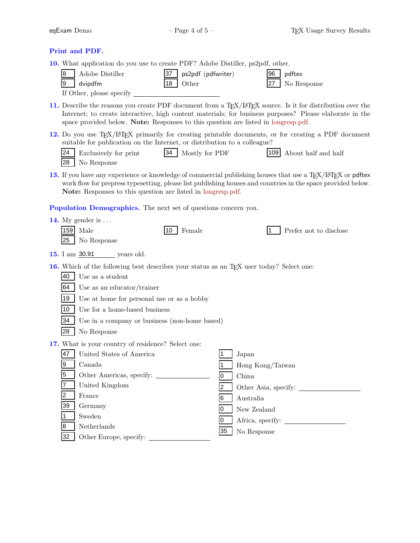### **Print and PDF.**

**10.** What application do you use to create PDF? Adobe Distiller, ps2pdf, other.

| 8   Adobe Distiller      | 37   ps2pdf (pdfwriter) | $ 96 $ pdftex    |
|--------------------------|-------------------------|------------------|
| $ 9 $ dvipdfm            | $18$ Other              | $27$ No Response |
| If Other, please specify |                         |                  |

11. Describe the reasons you create PDF document from a T<sub>EX</sub>/L<sup>AT</sup>EX source. Is it for distribution over the Internet; to create interactive, high content materials; for business purposes? Please elaborate in the space provided below. **Note:** Responses to this question are listed in [longresp.pdf.](#page-0-0)

12. Do you use T<sub>E</sub>X/L<sup>AT</sup>EX primarily for creating printable documents, or for creating a PDF document suitable for publication on the Internet, or distribution to a colleague?

| 24 Exclusively for print | 34 Mostly for PDF | 109 About half and half |
|--------------------------|-------------------|-------------------------|
| 28   No Response         |                   |                         |

**13.** If you have any experience or knowledge of commercial publishing houses that use a T<sub>E</sub>X/L<sup>AT</sup>EX or pdftex work flow for prepress typesetting, please list publishing houses and countries in the space provided below. **Note:** Responses to this question are listed in [longresp.pdf.](#page-0-0) 28 Solution No Response<br>
16 you have any experience or knowledge of commercial publishing house<br>
work flow for prepress typesetting, please list publishing houses and coun<br> **Note:** Responses to this question are listed in

**Population Demographics.** The next set of questions concern you.

|                | 14. My gender is $\dots$                                                                             |    |                        |
|----------------|------------------------------------------------------------------------------------------------------|----|------------------------|
| 159            | Female<br>Male<br>10                                                                                 |    | Prefer not to disclose |
| 25             | No Response                                                                                          |    |                        |
|                | 15. I am 30.91 years old.                                                                            |    |                        |
|                | 16. Which of the following best describes your status as an T <sub>F</sub> X user today? Select one: |    |                        |
| 40             | Use as a student                                                                                     |    |                        |
| 64             | Use as an educator/trainer                                                                           |    |                        |
| 19             | Use at home for personal use or as a hobby                                                           |    |                        |
| 10             | Use for a home-based business                                                                        |    |                        |
| 34             | Use in a company or business (non-home based)                                                        |    |                        |
| 28             | No Response                                                                                          |    |                        |
|                | 17. What is your country of residence? Select one:                                                   |    |                        |
| 47             | United States of America                                                                             |    | Japan                  |
| Ι9             | Canada                                                                                               |    | Hong Kong/Taiwan       |
| 5              |                                                                                                      | 0  | China                  |
|                | United Kingdom                                                                                       | 2  | Other Asia, specify:   |
| $\overline{2}$ | France                                                                                               | 6  | Australia              |
| 39             | Germany                                                                                              | 0  | New Zealand            |
|                | Sweden                                                                                               | 0  |                        |
| 8              | Netherlands                                                                                          | 35 | No Response            |
| 32             | Other Europe, specify:                                                                               |    |                        |